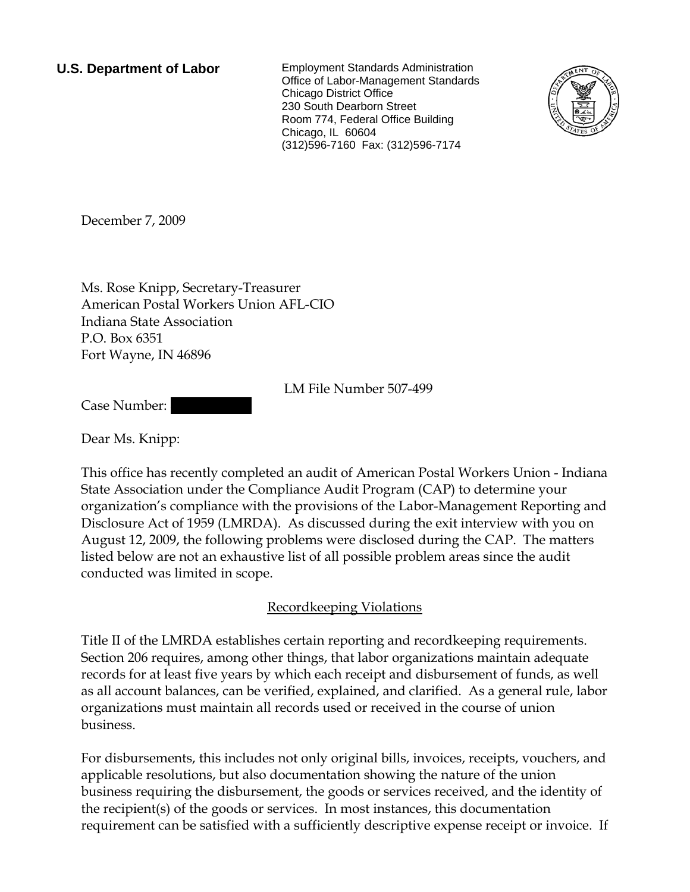**U.S. Department of Labor** Employment Standards Administration Office of Labor-Management Standards Chicago District Office 230 South Dearborn Street Room 774, Federal Office Building Chicago, IL 60604 (312)596-7160 Fax: (312)596-7174



December 7, 2009

Ms. Rose Knipp, Secretary-Treasurer American Postal Workers Union AFL-CIO Indiana State Association P.O. Box 6351 Fort Wayne, IN 46896

LM File Number 507-499

Case Number:

Dear Ms. Knipp:

This office has recently completed an audit of American Postal Workers Union - Indiana State Association under the Compliance Audit Program (CAP) to determine your organization's compliance with the provisions of the Labor-Management Reporting and Disclosure Act of 1959 (LMRDA). As discussed during the exit interview with you on August 12, 2009, the following problems were disclosed during the CAP. The matters listed below are not an exhaustive list of all possible problem areas since the audit conducted was limited in scope.

# Recordkeeping Violations

Title II of the LMRDA establishes certain reporting and recordkeeping requirements. Section 206 requires, among other things, that labor organizations maintain adequate records for at least five years by which each receipt and disbursement of funds, as well as all account balances, can be verified, explained, and clarified. As a general rule, labor organizations must maintain all records used or received in the course of union business.

For disbursements, this includes not only original bills, invoices, receipts, vouchers, and applicable resolutions, but also documentation showing the nature of the union business requiring the disbursement, the goods or services received, and the identity of the recipient(s) of the goods or services. In most instances, this documentation requirement can be satisfied with a sufficiently descriptive expense receipt or invoice. If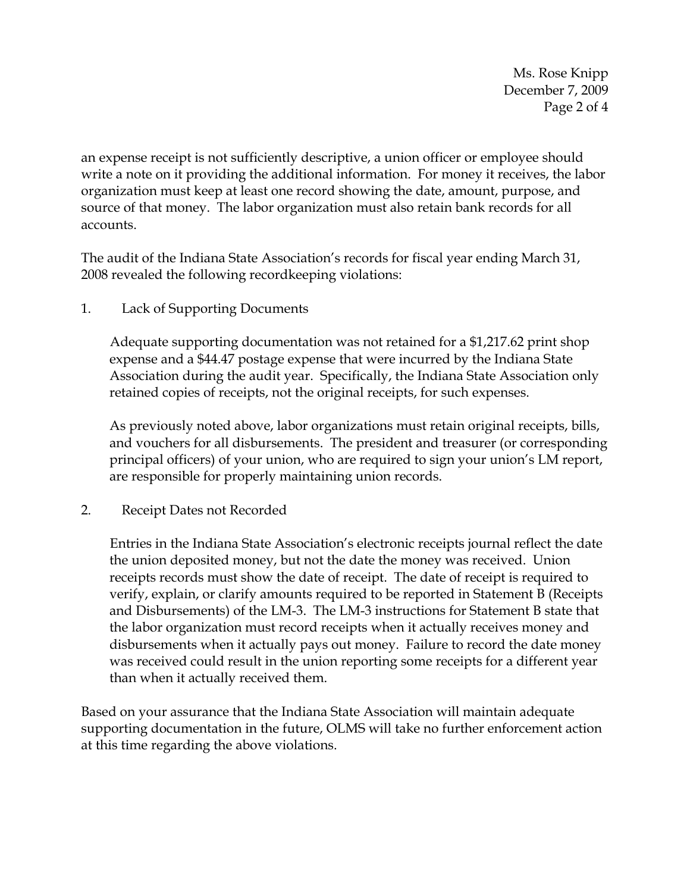Ms. Rose Knipp December 7, 2009 Page 2 of 4

an expense receipt is not sufficiently descriptive, a union officer or employee should write a note on it providing the additional information. For money it receives, the labor organization must keep at least one record showing the date, amount, purpose, and source of that money. The labor organization must also retain bank records for all accounts.

The audit of the Indiana State Association's records for fiscal year ending March 31, 2008 revealed the following recordkeeping violations:

1. Lack of Supporting Documents

Adequate supporting documentation was not retained for a \$1,217.62 print shop expense and a \$44.47 postage expense that were incurred by the Indiana State Association during the audit year. Specifically, the Indiana State Association only retained copies of receipts, not the original receipts, for such expenses.

As previously noted above, labor organizations must retain original receipts, bills, and vouchers for all disbursements. The president and treasurer (or corresponding principal officers) of your union, who are required to sign your union's LM report, are responsible for properly maintaining union records.

2. Receipt Dates not Recorded

Entries in the Indiana State Association's electronic receipts journal reflect the date the union deposited money, but not the date the money was received. Union receipts records must show the date of receipt. The date of receipt is required to verify, explain, or clarify amounts required to be reported in Statement B (Receipts and Disbursements) of the LM-3. The LM-3 instructions for Statement B state that the labor organization must record receipts when it actually receives money and disbursements when it actually pays out money. Failure to record the date money was received could result in the union reporting some receipts for a different year than when it actually received them.

Based on your assurance that the Indiana State Association will maintain adequate supporting documentation in the future, OLMS will take no further enforcement action at this time regarding the above violations.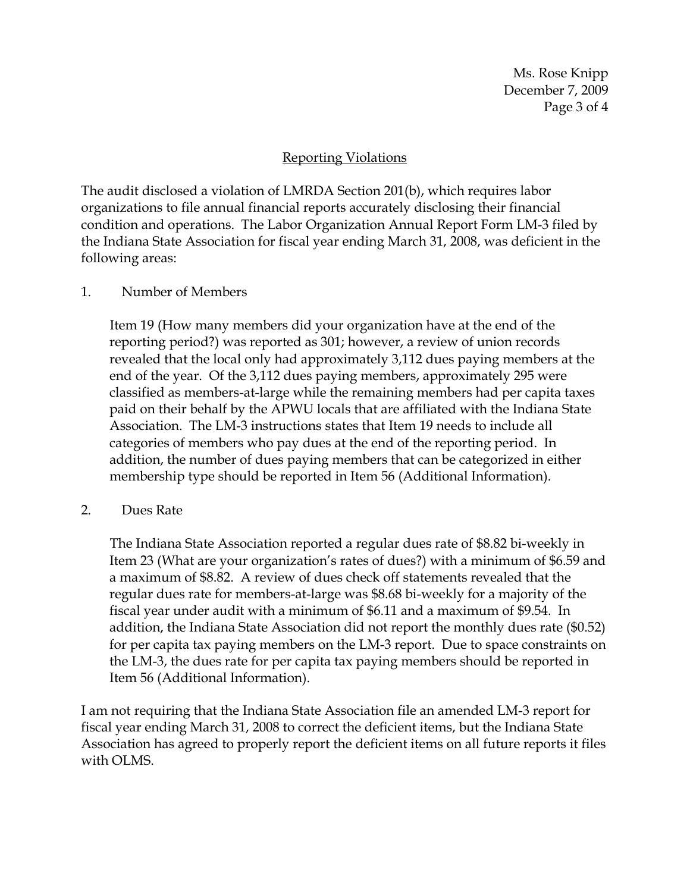Ms. Rose Knipp December 7, 2009 Page 3 of 4

# Reporting Violations

The audit disclosed a violation of LMRDA Section 201(b), which requires labor organizations to file annual financial reports accurately disclosing their financial condition and operations. The Labor Organization Annual Report Form LM-3 filed by the Indiana State Association for fiscal year ending March 31, 2008, was deficient in the following areas:

#### 1. Number of Members

Item 19 (How many members did your organization have at the end of the reporting period?) was reported as 301; however, a review of union records revealed that the local only had approximately 3,112 dues paying members at the end of the year. Of the 3,112 dues paying members, approximately 295 were classified as members-at-large while the remaining members had per capita taxes paid on their behalf by the APWU locals that are affiliated with the Indiana State Association. The LM-3 instructions states that Item 19 needs to include all categories of members who pay dues at the end of the reporting period. In addition, the number of dues paying members that can be categorized in either membership type should be reported in Item 56 (Additional Information).

#### 2. Dues Rate

The Indiana State Association reported a regular dues rate of \$8.82 bi-weekly in Item 23 (What are your organization's rates of dues?) with a minimum of \$6.59 and a maximum of \$8.82. A review of dues check off statements revealed that the regular dues rate for members-at-large was \$8.68 bi-weekly for a majority of the fiscal year under audit with a minimum of \$6.11 and a maximum of \$9.54. In addition, the Indiana State Association did not report the monthly dues rate (\$0.52) for per capita tax paying members on the LM-3 report. Due to space constraints on the LM-3, the dues rate for per capita tax paying members should be reported in Item 56 (Additional Information).

I am not requiring that the Indiana State Association file an amended LM-3 report for fiscal year ending March 31, 2008 to correct the deficient items, but the Indiana State Association has agreed to properly report the deficient items on all future reports it files with OLMS.